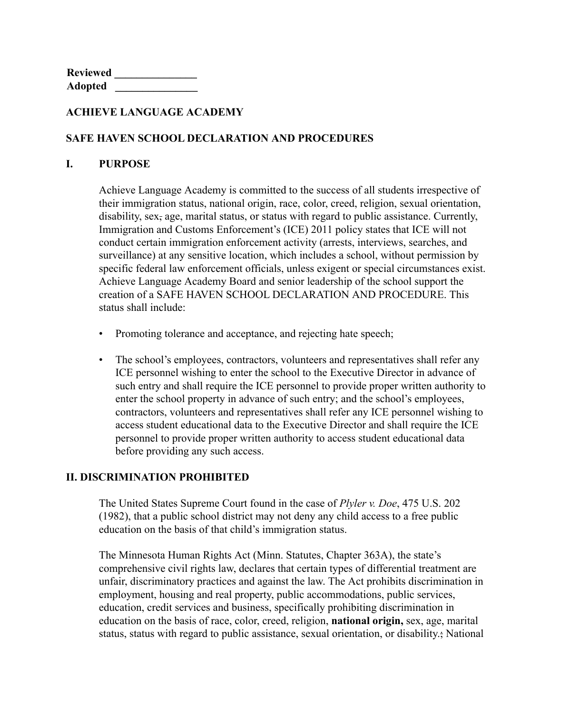**Reviewed \_\_\_\_\_\_\_\_\_\_\_\_\_\_\_ Adopted \_\_\_\_\_\_\_\_\_\_\_\_\_\_\_**

### **ACHIEVE LANGUAGE ACADEMY**

### **SAFE HAVEN SCHOOL DECLARATION AND PROCEDURES**

#### **I. PURPOSE**

Achieve Language Academy is committed to the success of all students irrespective of their immigration status, national origin, race, color, creed, religion, sexual orientation, disability, sex, age, marital status, or status with regard to public assistance. Currently, Immigration and Customs Enforcement's (ICE) 2011 policy states that ICE will not conduct certain immigration enforcement activity (arrests, interviews, searches, and surveillance) at any sensitive location, which includes a school, without permission by specific federal law enforcement officials, unless exigent or special circumstances exist. Achieve Language Academy Board and senior leadership of the school support the creation of a SAFE HAVEN SCHOOL DECLARATION AND PROCEDURE. This status shall include:

- Promoting tolerance and acceptance, and rejecting hate speech;
- The school's employees, contractors, volunteers and representatives shall refer any ICE personnel wishing to enter the school to the Executive Director in advance of such entry and shall require the ICE personnel to provide proper written authority to enter the school property in advance of such entry; and the school's employees, contractors, volunteers and representatives shall refer any ICE personnel wishing to access student educational data to the Executive Director and shall require the ICE personnel to provide proper written authority to access student educational data before providing any such access.

## **II. DISCRIMINATION PROHIBITED**

The United States Supreme Court found in the case of *Plyler v. Doe*, 475 U.S. 202 (1982), that a public school district may not deny any child access to a free public education on the basis of that child's immigration status.

The Minnesota Human Rights Act (Minn. Statutes, Chapter 363A), the state's comprehensive civil rights law, declares that certain types of differential treatment are unfair, discriminatory practices and against the law. The Act prohibits discrimination in employment, housing and real property, public accommodations, public services, education, credit services and business, specifically prohibiting discrimination in education on the basis of race, color, creed, religion, **national origin,** sex, age, marital status, status with regard to public assistance, sexual orientation, or disability.; National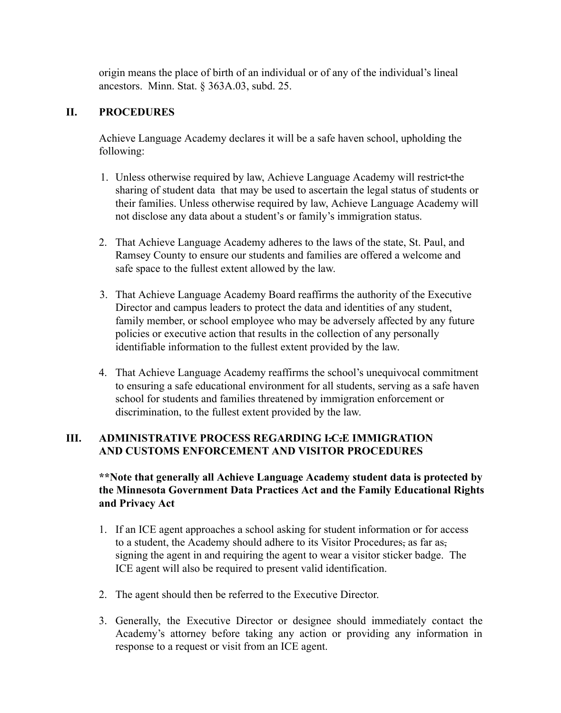origin means the place of birth of an individual or of any of the individual's lineal ancestors. Minn. Stat. § 363A.03, subd. 25.

## **II. PROCEDURES**

Achieve Language Academy declares it will be a safe haven school, upholding the following:

- 1. Unless otherwise required by law, Achieve Language Academy will restrict the sharing of student data that may be used to ascertain the legal status of students or their families. Unless otherwise required by law, Achieve Language Academy will not disclose any data about a student's or family's immigration status.
- 2. That Achieve Language Academy adheres to the laws of the state, St. Paul, and Ramsey County to ensure our students and families are offered a welcome and safe space to the fullest extent allowed by the law.
- 3. That Achieve Language Academy Board reaffirms the authority of the Executive Director and campus leaders to protect the data and identities of any student, family member, or school employee who may be adversely affected by any future policies or executive action that results in the collection of any personally identifiable information to the fullest extent provided by the law.
- 4. That Achieve Language Academy reaffirms the school's unequivocal commitment to ensuring a safe educational environment for all students, serving as a safe haven school for students and families threatened by immigration enforcement or discrimination, to the fullest extent provided by the law.

# **III. ADMINISTRATIVE PROCESS REGARDING I.C.E IMMIGRATION AND CUSTOMS ENFORCEMENT AND VISITOR PROCEDURES**

# **\*\*Note that generally all Achieve Language Academy student data is protected by the Minnesota Government Data Practices Act and the Family Educational Rights and Privacy Act**

- 1. If an ICE agent approaches a school asking for student information or for access to a student, the Academy should adhere to its Visitor Procedures, as far as, signing the agent in and requiring the agent to wear a visitor sticker badge. The ICE agent will also be required to present valid identification.
- 2. The agent should then be referred to the Executive Director.
- 3. Generally, the Executive Director or designee should immediately contact the Academy's attorney before taking any action or providing any information in response to a request or visit from an ICE agent.